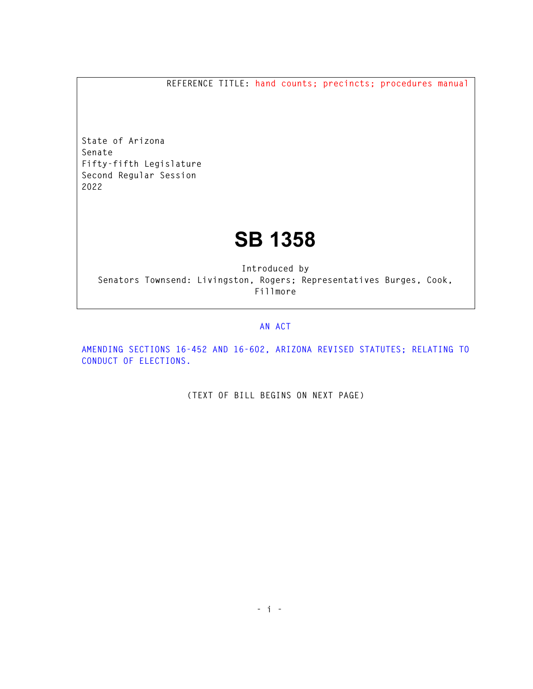**REFERENCE TITLE: hand counts; precincts; procedures manual** 

**State of Arizona Senate Fifty-fifth Legislature Second Regular Session 2022** 

## **SB 1358**

**Introduced by Senators Townsend: Livingston, Rogers; Representatives Burges, Cook, Fillmore** 

## **AN ACT**

**AMENDING SECTIONS 16-452 AND 16-602, ARIZONA REVISED STATUTES; RELATING TO CONDUCT OF ELECTIONS.** 

**(TEXT OF BILL BEGINS ON NEXT PAGE)**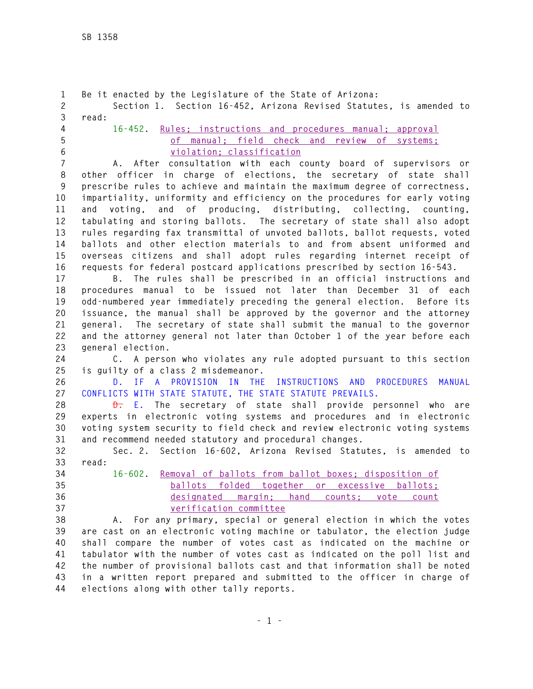```
1 Be it enacted by the Legislature of the State of Arizona: 
2 Section 1. Section 16-452, Arizona Revised Statutes, is amended to 
3 read: 
4 16-452. Rules; instructions and procedures manual; approval 
5 of manual; field check and review of systems; 
6 violation; classification
7 A. After consultation with each county board of supervisors or 
8 other officer in charge of elections, the secretary of state shall 
9 prescribe rules to achieve and maintain the maximum degree of correctness, 
10 impartiality, uniformity and efficiency on the procedures for early voting 
11 and voting, and of producing, distributing, collecting, counting, 
12 tabulating and storing ballots. The secretary of state shall also adopt 
13 rules regarding fax transmittal of unvoted ballots, ballot requests, voted 
14 ballots and other election materials to and from absent uniformed and 
15 overseas citizens and shall adopt rules regarding internet receipt of 
16 requests for federal postcard applications prescribed by section 16-543. 
17 B. The rules shall be prescribed in an official instructions and 
18 procedures manual to be issued not later than December 31 of each 
19 odd-numbered year immediately preceding the general election. Before its 
20 issuance, the manual shall be approved by the governor and the attorney 
21 general. The secretary of state shall submit the manual to the governor 
22 and the attorney general not later than October 1 of the year before each 
23 general election. 
24 C. A person who violates any rule adopted pursuant to this section 
25 is guilty of a class 2 misdemeanor.
26 D. IF A PROVISION IN THE INSTRUCTIONS AND PROCEDURES MANUAL 
27 CONFLICTS WITH STATE STATUTE, THE STATE STATUTE PREVAILS. 
28 D. E. The secretary of state shall provide personnel who are 
29 experts in electronic voting systems and procedures and in electronic 
30 voting system security to field check and review electronic voting systems 
31 and recommend needed statutory and procedural changes. 
32 Sec. 2. Section 16-602, Arizona Revised Statutes, is amended to 
33 read: 
34 16-602. Removal of ballots from ballot boxes; disposition of 
35 ballots folded together or excessive ballots; 
36 designated margin; hand counts; vote count 
37 verification committee
38 A. For any primary, special or general election in which the votes 
39 are cast on an electronic voting machine or tabulator, the election judge 
40 shall compare the number of votes cast as indicated on the machine or 
41 tabulator with the number of votes cast as indicated on the poll list and 
42 the number of provisional ballots cast and that information shall be noted 
43 in a written report prepared and submitted to the officer in charge of 
44 elections along with other tally reports.
```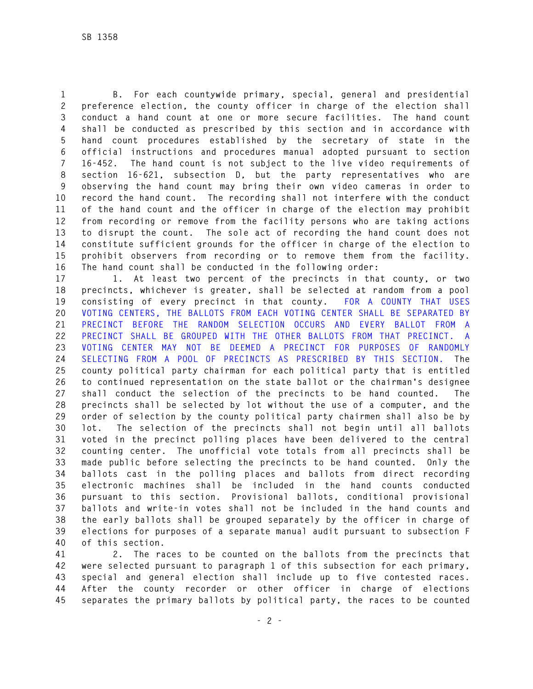**1 B. For each countywide primary, special, general and presidential 2 preference election, the county officer in charge of the election shall 3 conduct a hand count at one or more secure facilities. The hand count 4 shall be conducted as prescribed by this section and in accordance with 5 hand count procedures established by the secretary of state in the 6 official instructions and procedures manual adopted pursuant to section 7 16-452. The hand count is not subject to the live video requirements of 8 section 16-621, subsection D, but the party representatives who are 9 observing the hand count may bring their own video cameras in order to 10 record the hand count. The recording shall not interfere with the conduct 11 of the hand count and the officer in charge of the election may prohibit 12 from recording or remove from the facility persons who are taking actions 13 to disrupt the count. The sole act of recording the hand count does not 14 constitute sufficient grounds for the officer in charge of the election to 15 prohibit observers from recording or to remove them from the facility. 16 The hand count shall be conducted in the following order:** 

**17 1. At least two percent of the precincts in that county, or two 18 precincts, whichever is greater, shall be selected at random from a pool 19 consisting of every precinct in that county. FOR A COUNTY THAT USES 20 VOTING CENTERS, THE BALLOTS FROM EACH VOTING CENTER SHALL BE SEPARATED BY 21 PRECINCT BEFORE THE RANDOM SELECTION OCCURS AND EVERY BALLOT FROM A 22 PRECINCT SHALL BE GROUPED WITH THE OTHER BALLOTS FROM THAT PRECINCT. A 23 VOTING CENTER MAY NOT BE DEEMED A PRECINCT FOR PURPOSES OF RANDOMLY 24 SELECTING FROM A POOL OF PRECINCTS AS PRESCRIBED BY THIS SECTION. The 25 county political party chairman for each political party that is entitled 26 to continued representation on the state ballot or the chairman's designee 27 shall conduct the selection of the precincts to be hand counted. The 28 precincts shall be selected by lot without the use of a computer, and the 29 order of selection by the county political party chairmen shall also be by 30 lot. The selection of the precincts shall not begin until all ballots 31 voted in the precinct polling places have been delivered to the central 32 counting center. The unofficial vote totals from all precincts shall be 33 made public before selecting the precincts to be hand counted. Only the 34 ballots cast in the polling places and ballots from direct recording 35 electronic machines shall be included in the hand counts conducted 36 pursuant to this section. Provisional ballots, conditional provisional 37 ballots and write-in votes shall not be included in the hand counts and 38 the early ballots shall be grouped separately by the officer in charge of 39 elections for purposes of a separate manual audit pursuant to subsection F 40 of this section.** 

**41 2. The races to be counted on the ballots from the precincts that 42 were selected pursuant to paragraph 1 of this subsection for each primary, 43 special and general election shall include up to five contested races. 44 After the county recorder or other officer in charge of elections 45 separates the primary ballots by political party, the races to be counted**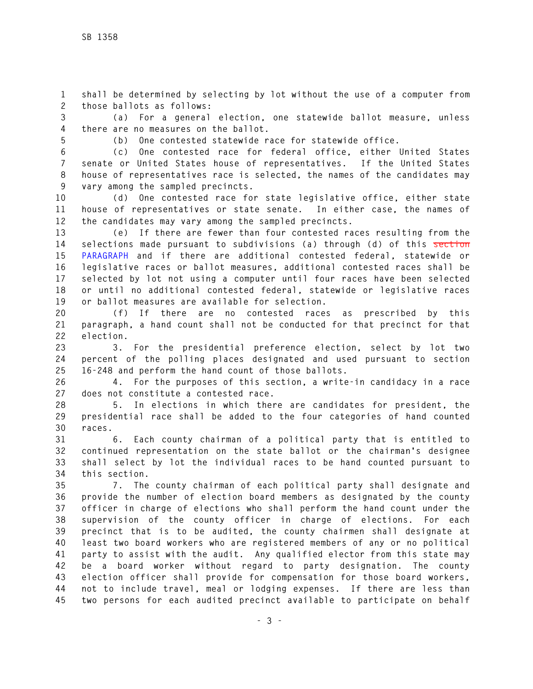**1 shall be determined by selecting by lot without the use of a computer from 2 those ballots as follows:** 

**3 (a) For a general election, one statewide ballot measure, unless 4 there are no measures on the ballot.** 

**5 (b) One contested statewide race for statewide office.** 

**6 (c) One contested race for federal office, either United States 7 senate or United States house of representatives. If the United States 8 house of representatives race is selected, the names of the candidates may 9 vary among the sampled precincts.** 

**10 (d) One contested race for state legislative office, either state 11 house of representatives or state senate. In either case, the names of 12 the candidates may vary among the sampled precincts.** 

**13 (e) If there are fewer than four contested races resulting from the 14 selections made pursuant to subdivisions (a) through (d) of this section 15 PARAGRAPH and if there are additional contested federal, statewide or 16 legislative races or ballot measures, additional contested races shall be 17 selected by lot not using a computer until four races have been selected 18 or until no additional contested federal, statewide or legislative races 19 or ballot measures are available for selection.** 

**20 (f) If there are no contested races as prescribed by this 21 paragraph, a hand count shall not be conducted for that precinct for that 22 election.** 

**23 3. For the presidential preference election, select by lot two 24 percent of the polling places designated and used pursuant to section 25 16-248 and perform the hand count of those ballots.** 

**26 4. For the purposes of this section, a write-in candidacy in a race 27 does not constitute a contested race.** 

**28 5. In elections in which there are candidates for president, the 29 presidential race shall be added to the four categories of hand counted 30 races.** 

**31 6. Each county chairman of a political party that is entitled to 32 continued representation on the state ballot or the chairman's designee 33 shall select by lot the individual races to be hand counted pursuant to 34 this section.** 

**35 7. The county chairman of each political party shall designate and 36 provide the number of election board members as designated by the county 37 officer in charge of elections who shall perform the hand count under the 38 supervision of the county officer in charge of elections. For each 39 precinct that is to be audited, the county chairmen shall designate at 40 least two board workers who are registered members of any or no political 41 party to assist with the audit. Any qualified elector from this state may 42 be a board worker without regard to party designation. The county 43 election officer shall provide for compensation for those board workers, 44 not to include travel, meal or lodging expenses. If there are less than 45 two persons for each audited precinct available to participate on behalf**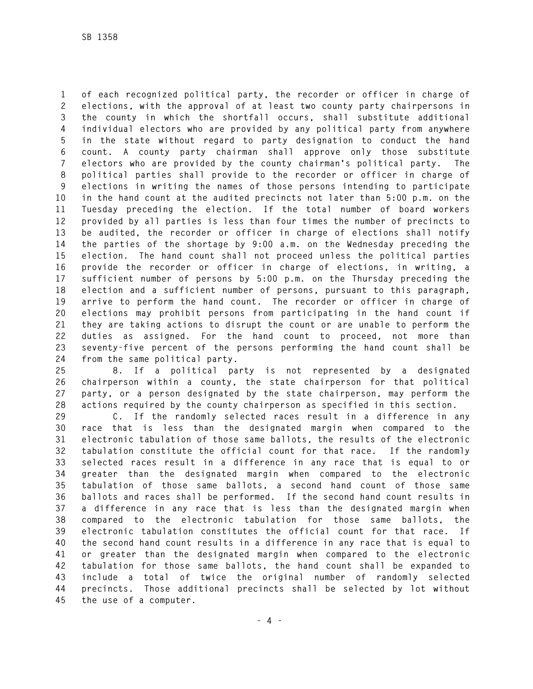**1 of each recognized political party, the recorder or officer in charge of 2 elections, with the approval of at least two county party chairpersons in 3 the county in which the shortfall occurs, shall substitute additional 4 individual electors who are provided by any political party from anywhere 5 in the state without regard to party designation to conduct the hand 6 count. A county party chairman shall approve only those substitute 7 electors who are provided by the county chairman's political party. The 8 political parties shall provide to the recorder or officer in charge of 9 elections in writing the names of those persons intending to participate 10 in the hand count at the audited precincts not later than 5:00 p.m. on the 11 Tuesday preceding the election. If the total number of board workers 12 provided by all parties is less than four times the number of precincts to 13 be audited, the recorder or officer in charge of elections shall notify 14 the parties of the shortage by 9:00 a.m. on the Wednesday preceding the 15 election. The hand count shall not proceed unless the political parties 16 provide the recorder or officer in charge of elections, in writing, a 17 sufficient number of persons by 5:00 p.m. on the Thursday preceding the 18 election and a sufficient number of persons, pursuant to this paragraph, 19 arrive to perform the hand count. The recorder or officer in charge of 20 elections may prohibit persons from participating in the hand count if 21 they are taking actions to disrupt the count or are unable to perform the 22 duties as assigned. For the hand count to proceed, not more than 23 seventy-five percent of the persons performing the hand count shall be 24 from the same political party.** 

**25 8. If a political party is not represented by a designated 26 chairperson within a county, the state chairperson for that political 27 party, or a person designated by the state chairperson, may perform the 28 actions required by the county chairperson as specified in this section.** 

**29 C. If the randomly selected races result in a difference in any 30 race that is less than the designated margin when compared to the 31 electronic tabulation of those same ballots, the results of the electronic 32 tabulation constitute the official count for that race. If the randomly 33 selected races result in a difference in any race that is equal to or 34 greater than the designated margin when compared to the electronic 35 tabulation of those same ballots, a second hand count of those same 36 ballots and races shall be performed. If the second hand count results in 37 a difference in any race that is less than the designated margin when 38 compared to the electronic tabulation for those same ballots, the 39 electronic tabulation constitutes the official count for that race. If 40 the second hand count results in a difference in any race that is equal to 41 or greater than the designated margin when compared to the electronic 42 tabulation for those same ballots, the hand count shall be expanded to 43 include a total of twice the original number of randomly selected 44 precincts. Those additional precincts shall be selected by lot without 45 the use of a computer.**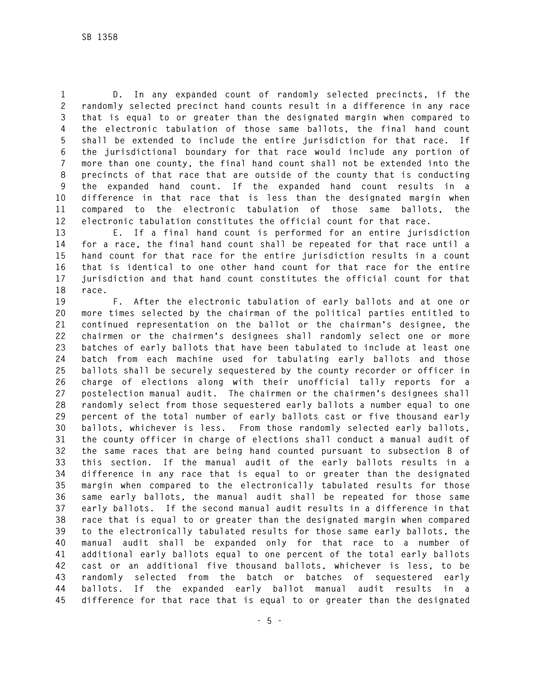**1 D. In any expanded count of randomly selected precincts, if the 2 randomly selected precinct hand counts result in a difference in any race 3 that is equal to or greater than the designated margin when compared to 4 the electronic tabulation of those same ballots, the final hand count 5 shall be extended to include the entire jurisdiction for that race. If 6 the jurisdictional boundary for that race would include any portion of 7 more than one county, the final hand count shall not be extended into the 8 precincts of that race that are outside of the county that is conducting 9 the expanded hand count. If the expanded hand count results in a 10 difference in that race that is less than the designated margin when 11 compared to the electronic tabulation of those same ballots, the 12 electronic tabulation constitutes the official count for that race.** 

**13 E. If a final hand count is performed for an entire jurisdiction 14 for a race, the final hand count shall be repeated for that race until a 15 hand count for that race for the entire jurisdiction results in a count 16 that is identical to one other hand count for that race for the entire 17 jurisdiction and that hand count constitutes the official count for that 18 race.** 

**19 F. After the electronic tabulation of early ballots and at one or 20 more times selected by the chairman of the political parties entitled to 21 continued representation on the ballot or the chairman's designee, the 22 chairmen or the chairmen's designees shall randomly select one or more 23 batches of early ballots that have been tabulated to include at least one 24 batch from each machine used for tabulating early ballots and those 25 ballots shall be securely sequestered by the county recorder or officer in 26 charge of elections along with their unofficial tally reports for a 27 postelection manual audit. The chairmen or the chairmen's designees shall 28 randomly select from those sequestered early ballots a number equal to one 29 percent of the total number of early ballots cast or five thousand early 30 ballots, whichever is less. From those randomly selected early ballots, 31 the county officer in charge of elections shall conduct a manual audit of 32 the same races that are being hand counted pursuant to subsection B of 33 this section. If the manual audit of the early ballots results in a 34 difference in any race that is equal to or greater than the designated 35 margin when compared to the electronically tabulated results for those 36 same early ballots, the manual audit shall be repeated for those same 37 early ballots. If the second manual audit results in a difference in that 38 race that is equal to or greater than the designated margin when compared 39 to the electronically tabulated results for those same early ballots, the 40 manual audit shall be expanded only for that race to a number of 41 additional early ballots equal to one percent of the total early ballots 42 cast or an additional five thousand ballots, whichever is less, to be 43 randomly selected from the batch or batches of sequestered early 44 ballots. If the expanded early ballot manual audit results in a 45 difference for that race that is equal to or greater than the designated**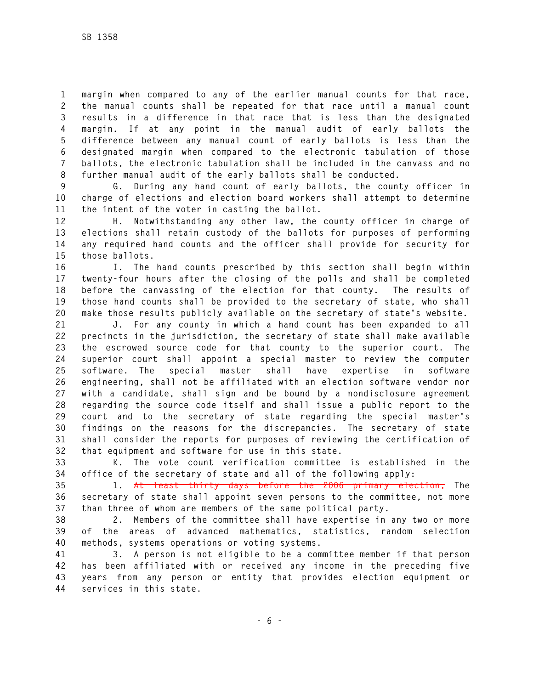**1 margin when compared to any of the earlier manual counts for that race, 2 the manual counts shall be repeated for that race until a manual count 3 results in a difference in that race that is less than the designated 4 margin. If at any point in the manual audit of early ballots the 5 difference between any manual count of early ballots is less than the 6 designated margin when compared to the electronic tabulation of those 7 ballots, the electronic tabulation shall be included in the canvass and no 8 further manual audit of the early ballots shall be conducted.** 

**9 G. During any hand count of early ballots, the county officer in 10 charge of elections and election board workers shall attempt to determine 11 the intent of the voter in casting the ballot.** 

**12 H. Notwithstanding any other law, the county officer in charge of 13 elections shall retain custody of the ballots for purposes of performing 14 any required hand counts and the officer shall provide for security for 15 those ballots.** 

**16 I. The hand counts prescribed by this section shall begin within 17 twenty-four hours after the closing of the polls and shall be completed 18 before the canvassing of the election for that county. The results of 19 those hand counts shall be provided to the secretary of state, who shall 20 make those results publicly available on the secretary of state's website.** 

**21 J. For any county in which a hand count has been expanded to all 22 precincts in the jurisdiction, the secretary of state shall make available 23 the escrowed source code for that county to the superior court. The 24 superior court shall appoint a special master to review the computer 25 software. The special master shall have expertise in software 26 engineering, shall not be affiliated with an election software vendor nor 27 with a candidate, shall sign and be bound by a nondisclosure agreement 28 regarding the source code itself and shall issue a public report to the 29 court and to the secretary of state regarding the special master's 30 findings on the reasons for the discrepancies. The secretary of state 31 shall consider the reports for purposes of reviewing the certification of 32 that equipment and software for use in this state.** 

**33 K. The vote count verification committee is established in the 34 office of the secretary of state and all of the following apply:** 

**35 1. At least thirty days before the 2006 primary election, The 36 secretary of state shall appoint seven persons to the committee, not more 37 than three of whom are members of the same political party.** 

**38 2. Members of the committee shall have expertise in any two or more 39 of the areas of advanced mathematics, statistics, random selection 40 methods, systems operations or voting systems.** 

**41 3. A person is not eligible to be a committee member if that person 42 has been affiliated with or received any income in the preceding five 43 years from any person or entity that provides election equipment or 44 services in this state.**